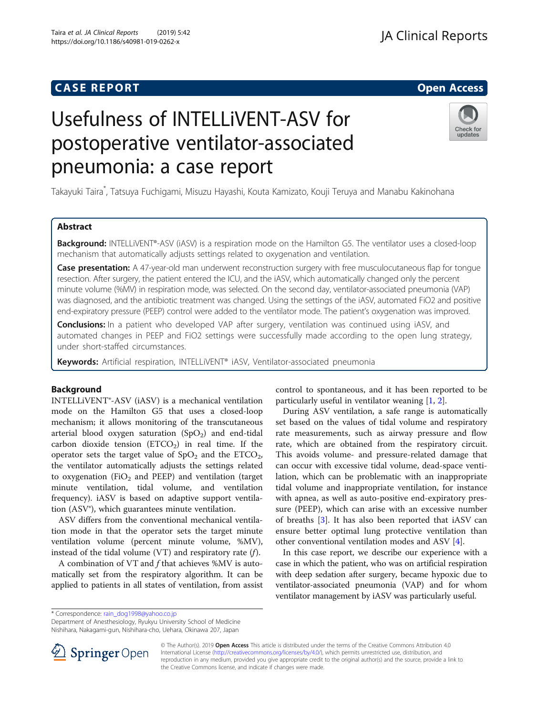Taira et al. JA Clinical Reports (2019) 5:42 https://doi.org/10.1186/s40981-019-0262-x

# Usefulness of INTELLiVENT-ASV for postoperative ventilator-associated pneumonia: a case report



Takayuki Taira\* , Tatsuya Fuchigami, Misuzu Hayashi, Kouta Kamizato, Kouji Teruya and Manabu Kakinohana

# Abstract

Background: INTELLIVENT®-ASV (IASV) is a respiration mode on the Hamilton G5. The ventilator uses a closed-loop mechanism that automatically adjusts settings related to oxygenation and ventilation.

Case presentation: A 47-year-old man underwent reconstruction surgery with free musculocutaneous flap for tongue resection. After surgery, the patient entered the ICU, and the iASV, which automatically changed only the percent minute volume (%MV) in respiration mode, was selected. On the second day, ventilator-associated pneumonia (VAP) was diagnosed, and the antibiotic treatment was changed. Using the settings of the iASV, automated FiO2 and positive end-expiratory pressure (PEEP) control were added to the ventilator mode. The patient's oxygenation was improved.

Conclusions: In a patient who developed VAP after surgery, ventilation was continued using iASV, and automated changes in PEEP and FiO2 settings were successfully made according to the open lung strategy, under short-staffed circumstances.

Keywords: Artificial respiration, INTELLiVENT® iASV, Ventilator-associated pneumonia

# Background

INTELLiVENT®-ASV (iASV) is a mechanical ventilation mode on the Hamilton G5 that uses a closed-loop mechanism; it allows monitoring of the transcutaneous arterial blood oxygen saturation  $(SpO<sub>2</sub>)$  and end-tidal carbon dioxide tension  $(ETCO<sub>2</sub>)$  in real time. If the operator sets the target value of  $SpO<sub>2</sub>$  and the  $ETCO<sub>2</sub>$ , the ventilator automatically adjusts the settings related to oxygenation (FiO<sub>2</sub> and PEEP) and ventilation (target minute ventilation, tidal volume, and ventilation frequency). iASV is based on adaptive support ventilation (ASV®), which guarantees minute ventilation.

ASV differs from the conventional mechanical ventilation mode in that the operator sets the target minute ventilation volume (percent minute volume, %MV), instead of the tidal volume (VT) and respiratory rate  $(f)$ .

A combination of VT and f that achieves %MV is automatically set from the respiratory algorithm. It can be applied to patients in all states of ventilation, from assist control to spontaneous, and it has been reported to be particularly useful in ventilator weaning [[1,](#page-3-0) [2\]](#page-3-0).

During ASV ventilation, a safe range is automatically set based on the values of tidal volume and respiratory rate measurements, such as airway pressure and flow rate, which are obtained from the respiratory circuit. This avoids volume- and pressure-related damage that can occur with excessive tidal volume, dead-space ventilation, which can be problematic with an inappropriate tidal volume and inappropriate ventilation, for instance with apnea, as well as auto-positive end-expiratory pressure (PEEP), which can arise with an excessive number of breaths [\[3](#page-3-0)]. It has also been reported that iASV can ensure better optimal lung protective ventilation than other conventional ventilation modes and ASV [\[4](#page-3-0)].

In this case report, we describe our experience with a case in which the patient, who was on artificial respiration with deep sedation after surgery, became hypoxic due to ventilator-associated pneumonia (VAP) and for whom ventilator management by iASV was particularly useful.

Department of Anesthesiology, Ryukyu University School of Medicine

Nishihara, Nakagami-gun, Nishihara-cho, Uehara, Okinawa 207, Japan



© The Author(s). 2019 Open Access This article is distributed under the terms of the Creative Commons Attribution 4.0 International License ([http://creativecommons.org/licenses/by/4.0/\)](http://creativecommons.org/licenses/by/4.0/), which permits unrestricted use, distribution, and reproduction in any medium, provided you give appropriate credit to the original author(s) and the source, provide a link to the Creative Commons license, and indicate if changes were made.

<sup>\*</sup> Correspondence: [rain\\_dog1998@yahoo.co.jp](mailto:rain_dog1998@yahoo.co.jp)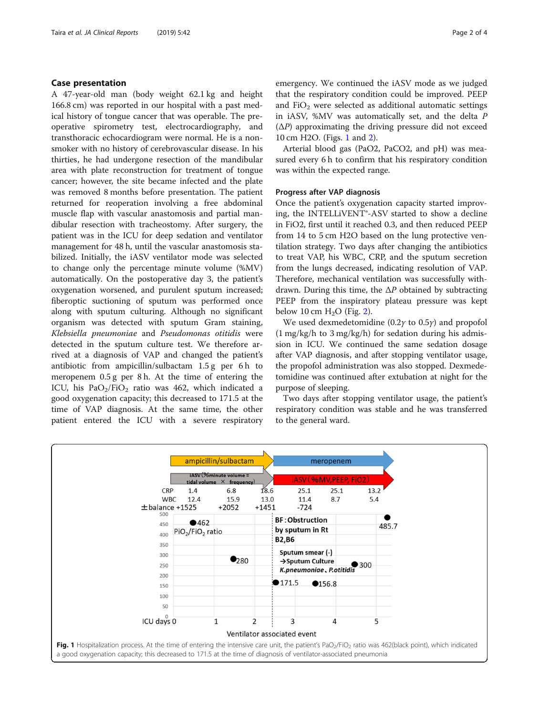# Case presentation

A 47-year-old man (body weight 62.1 kg and height 166.8 cm) was reported in our hospital with a past medical history of tongue cancer that was operable. The preoperative spirometry test, electrocardiography, and transthoracic echocardiogram were normal. He is a nonsmoker with no history of cerebrovascular disease. In his thirties, he had undergone resection of the mandibular area with plate reconstruction for treatment of tongue cancer; however, the site became infected and the plate was removed 8 months before presentation. The patient returned for reoperation involving a free abdominal muscle flap with vascular anastomosis and partial mandibular resection with tracheostomy. After surgery, the patient was in the ICU for deep sedation and ventilator management for 48 h, until the vascular anastomosis stabilized. Initially, the iASV ventilator mode was selected to change only the percentage minute volume (%MV) automatically. On the postoperative day 3, the patient's oxygenation worsened, and purulent sputum increased; fiberoptic suctioning of sputum was performed once along with sputum culturing. Although no significant organism was detected with sputum Gram staining, Klebsiella pneumoniae and Pseudomonas otitidis were detected in the sputum culture test. We therefore arrived at a diagnosis of VAP and changed the patient's antibiotic from ampicillin/sulbactam 1.5 g per 6 h to meropenem 0.5 g per 8 h. At the time of entering the ICU, his PaO<sub>2</sub>/FiO<sub>2</sub> ratio was 462, which indicated a good oxygenation capacity; this decreased to 171.5 at the time of VAP diagnosis. At the same time, the other patient entered the ICU with a severe respiratory emergency. We continued the iASV mode as we judged that the respiratory condition could be improved. PEEP and FiO<sub>2</sub> were selected as additional automatic settings in iASV, %MV was automatically set, and the delta P  $(\Delta P)$  approximating the driving pressure did not exceed 10 cm H2O. (Figs. 1 and [2](#page-2-0)).

Arterial blood gas (PaO2, PaCO2, and pH) was measured every 6 h to confirm that his respiratory condition was within the expected range.

# Progress after VAP diagnosis

Once the patient's oxygenation capacity started improving, the INTELLiVENT®-ASV started to show a decline in FiO2, first until it reached 0.3, and then reduced PEEP from 14 to 5 cm H2O based on the lung protective ventilation strategy. Two days after changing the antibiotics to treat VAP, his WBC, CRP, and the sputum secretion from the lungs decreased, indicating resolution of VAP. Therefore, mechanical ventilation was successfully withdrawn. During this time, the  $\Delta P$  obtained by subtracting PEEP from the inspiratory plateau pressure was kept below 10 cm  $H<sub>2</sub>O$  $H<sub>2</sub>O$  $H<sub>2</sub>O$  (Fig. 2).

We used dexmedetomidine  $(0.2\gamma \text{ to } 0.5\gamma)$  and propofol  $(1 \text{ mg/kg/h}$  to 3 mg/kg/h) for sedation during his admission in ICU. We continued the same sedation dosage after VAP diagnosis, and after stopping ventilator usage, the propofol administration was also stopped. Dexmedetomidine was continued after extubation at night for the purpose of sleeping.

Two days after stopping ventilator usage, the patient's respiratory condition was stable and he was transferred to the general ward.

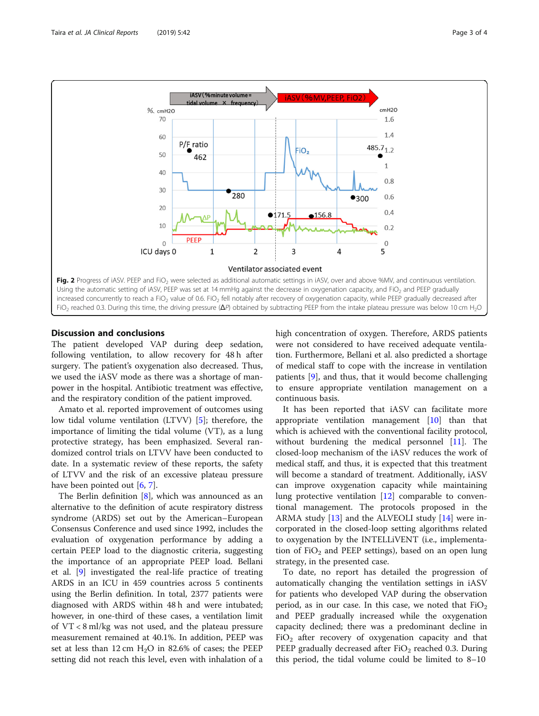<span id="page-2-0"></span>

# Discussion and conclusions

The patient developed VAP during deep sedation, following ventilation, to allow recovery for 48 h after surgery. The patient's oxygenation also decreased. Thus, we used the iASV mode as there was a shortage of manpower in the hospital. Antibiotic treatment was effective, and the respiratory condition of the patient improved.

Amato et al. reported improvement of outcomes using low tidal volume ventilation (LTVV) [\[5](#page-3-0)]; therefore, the importance of limiting the tidal volume (VT), as a lung protective strategy, has been emphasized. Several randomized control trials on LTVV have been conducted to date. In a systematic review of these reports, the safety of LTVV and the risk of an excessive plateau pressure have been pointed out [\[6](#page-3-0), [7](#page-3-0)].

The Berlin definition [[8\]](#page-3-0), which was announced as an alternative to the definition of acute respiratory distress syndrome (ARDS) set out by the American–European Consensus Conference and used since 1992, includes the evaluation of oxygenation performance by adding a certain PEEP load to the diagnostic criteria, suggesting the importance of an appropriate PEEP load. Bellani et al. [\[9\]](#page-3-0) investigated the real-life practice of treating ARDS in an ICU in 459 countries across 5 continents using the Berlin definition. In total, 2377 patients were diagnosed with ARDS within 48 h and were intubated; however, in one-third of these cases, a ventilation limit of VT < 8 ml/kg was not used, and the plateau pressure measurement remained at 40.1%. In addition, PEEP was set at less than 12 cm  $H_2O$  in 82.6% of cases; the PEEP setting did not reach this level, even with inhalation of a high concentration of oxygen. Therefore, ARDS patients were not considered to have received adequate ventilation. Furthermore, Bellani et al. also predicted a shortage of medical staff to cope with the increase in ventilation patients [[9\]](#page-3-0), and thus, that it would become challenging to ensure appropriate ventilation management on a continuous basis.

It has been reported that iASV can facilitate more appropriate ventilation management [\[10\]](#page-3-0) than that which is achieved with the conventional facility protocol, without burdening the medical personnel [\[11](#page-3-0)]. The closed-loop mechanism of the iASV reduces the work of medical staff, and thus, it is expected that this treatment will become a standard of treatment. Additionally, iASV can improve oxygenation capacity while maintaining lung protective ventilation [\[12](#page-3-0)] comparable to conventional management. The protocols proposed in the ARMA study [[13](#page-3-0)] and the ALVEOLI study [\[14](#page-3-0)] were incorporated in the closed-loop setting algorithms related to oxygenation by the INTELLiVENT (i.e., implementation of  $FiO<sub>2</sub>$  and PEEP settings), based on an open lung strategy, in the presented case.

To date, no report has detailed the progression of automatically changing the ventilation settings in iASV for patients who developed VAP during the observation period, as in our case. In this case, we noted that  $FiO<sub>2</sub>$ and PEEP gradually increased while the oxygenation capacity declined; there was a predominant decline in  $FiO<sub>2</sub>$  after recovery of oxygenation capacity and that PEEP gradually decreased after  $FiO<sub>2</sub>$  reached 0.3. During this period, the tidal volume could be limited to 8–10